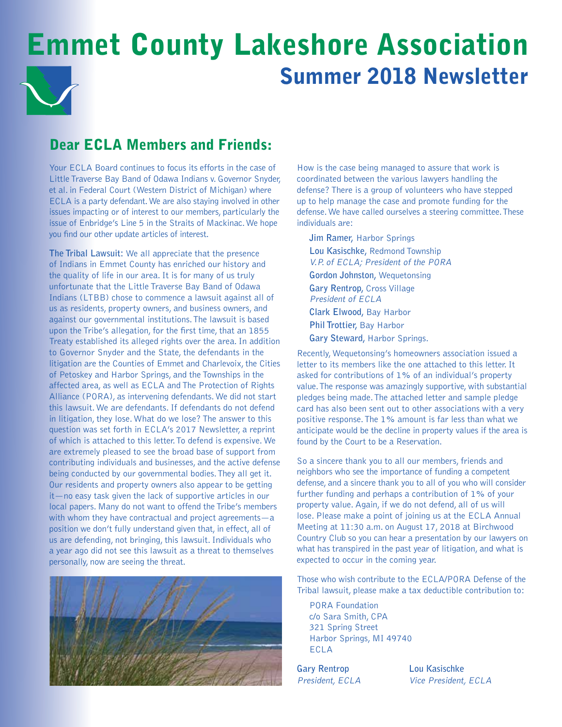# Emmet County Lakeshore Association Summer 2018 Newsletter

# Dear FCLA Members and Friends:

Your ECLA Board continues to focus its efforts in the case of Little Traverse Bay Band of Odawa Indians v. Governor Snyder, et al. in Federal Court (Western District of Michigan) where ECLA is a party defendant. We are also staying involved in other issues impacting or of interest to our members, particularly the issue of Enbridge's Line 5 in the Straits of Mackinac. We hope you find our other update articles of interest.

**The Tribal Lawsuit:** We all appreciate that the presence of Indians in Emmet County has enriched our history and the quality of life in our area. It is for many of us truly unfortunate that the Little Traverse Bay Band of Odawa Indians (LTBB) chose to commence a lawsuit against all of us as residents, property owners, and business owners, and against our governmental institutions. The lawsuit is based upon the Tribe's allegation, for the first time, that an 1855 Treaty established its alleged rights over the area. In addition to Governor Snyder and the State, the defendants in the litigation are the Counties of Emmet and Charlevoix, the Cities of Petoskey and Harbor Springs, and the Townships in the affected area, as well as ECLA and The Protection of Rights Alliance (PORA), as intervening defendants. We did not start this lawsuit. We are defendants. If defendants do not defend in litigation, they lose. What do we lose? The answer to this question was set forth in ECLA's 2017 Newsletter, a reprint of which is attached to this letter. To defend is expensive. We are extremely pleased to see the broad base of support from contributing individuals and businesses, and the active defense being conducted by our governmental bodies. They all get it. Our residents and property owners also appear to be getting it—no easy task given the lack of supportive articles in our local papers. Many do not want to offend the Tribe's members with whom they have contractual and project agreements—a position we don't fully understand given that, in effect, all of us are defending, not bringing, this lawsuit. Individuals who a year ago did not see this lawsuit as a threat to themselves personally, now are seeing the threat.



How is the case being managed to assure that work is coordinated between the various lawyers handling the defense? There is a group of volunteers who have stepped up to help manage the case and promote funding for the defense. We have called ourselves a steering committee. These individuals are:

**Jim Ramer,** Harbor Springs **Lou Kasischke,** Redmond Township V.P. of ECLA; President of the PORA **Gordon Johnston,** Wequetonsing **Gary Rentrop,** Cross Village President of ECLA **Clark Elwood,** Bay Harbor **Phil Trottier,** Bay Harbor **Gary Steward,** Harbor Springs.

Recently, Wequetonsing's homeowners association issued a letter to its members like the one attached to this letter. It asked for contributions of 1% of an individual's property value. The response was amazingly supportive, with substantial pledges being made. The attached letter and sample pledge card has also been sent out to other associations with a very positive response. The 1% amount is far less than what we anticipate would be the decline in property values if the area is found by the Court to be a Reservation.

So a sincere thank you to all our members, friends and neighbors who see the importance of funding a competent defense, and a sincere thank you to all of you who will consider further funding and perhaps a contribution of 1% of your property value. Again, if we do not defend, all of us will lose. Please make a point of joining us at the ECLA Annual Meeting at 11:30 a.m. on August 17, 2018 at Birchwood Country Club so you can hear a presentation by our lawyers on what has transpired in the past year of litigation, and what is expected to occur in the coming year.

Those who wish contribute to the ECLA/PORA Defense of the Tribal lawsuit, please make a tax deductible contribution to:

PORA Foundation c/o Sara Smith, CPA 321 Spring Street Harbor Springs, MI 49740 ECLA

**Gary Rentrop Lou Kasischke**

President, ECLA Vice President, ECLA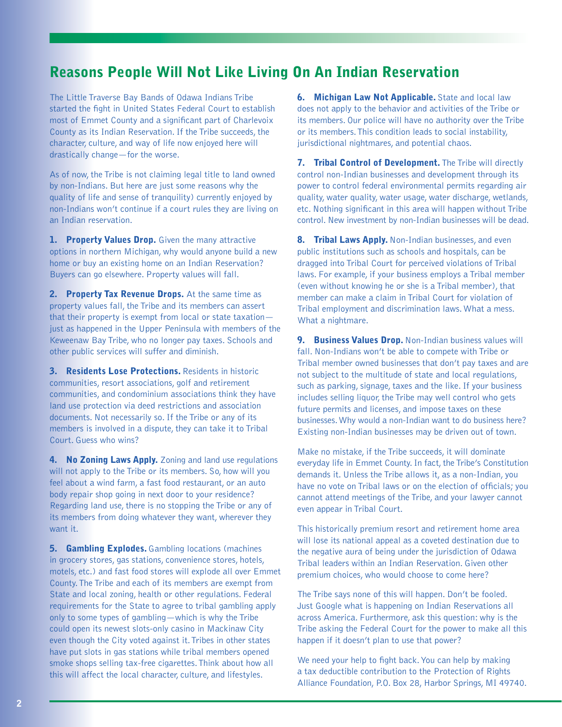### Reasons People Will Not Like Living On An Indian Reservation

The Little Traverse Bay Bands of Odawa Indians Tribe started the fight in United States Federal Court to establish most of Emmet County and a significant part of Charlevoix County as its Indian Reservation. If the Tribe succeeds, the character, culture, and way of life now enjoyed here will drastically change—for the worse.

As of now, the Tribe is not claiming legal title to land owned by non-Indians. But here are just some reasons why the quality of life and sense of tranquility) currently enjoyed by non-Indians won't continue if a court rules they are living on an Indian reservation.

1. Property Values Drop. Given the many attractive options in northern Michigan, why would anyone build a new home or buy an existing home on an Indian Reservation? Buyers can go elsewhere. Property values will fall.

2. Property Tax Revenue Drops. At the same time as property values fall, the Tribe and its members can assert that their property is exempt from local or state taxation just as happened in the Upper Peninsula with members of the Keweenaw Bay Tribe, who no longer pay taxes. Schools and other public services will suffer and diminish.

3. Residents Lose Protections. Residents in historic communities, resort associations, golf and retirement communities, and condominium associations think they have land use protection via deed restrictions and association documents. Not necessarily so. If the Tribe or any of its members is involved in a dispute, they can take it to Tribal Court. Guess who wins?

**4. No Zoning Laws Apply.** Zoning and land use regulations will not apply to the Tribe or its members. So, how will you feel about a wind farm, a fast food restaurant, or an auto body repair shop going in next door to your residence? Regarding land use, there is no stopping the Tribe or any of its members from doing whatever they want, wherever they want it.

**5. Gambling Explodes.** Gambling locations (machines in grocery stores, gas stations, convenience stores, hotels, motels, etc.) and fast food stores will explode all over Emmet County. The Tribe and each of its members are exempt from State and local zoning, health or other regulations. Federal requirements for the State to agree to tribal gambling apply only to some types of gambling—which is why the Tribe could open its newest slots-only casino in Mackinaw City even though the City voted against it. Tribes in other states have put slots in gas stations while tribal members opened smoke shops selling tax-free cigarettes. Think about how all this will affect the local character, culture, and lifestyles.

**6. Michigan Law Not Applicable.** State and local law does not apply to the behavior and activities of the Tribe or its members. Our police will have no authority over the Tribe or its members. This condition leads to social instability, jurisdictional nightmares, and potential chaos.

7. Tribal Control of Development. The Tribe will directly control non-Indian businesses and development through its power to control federal environmental permits regarding air quality, water quality, water usage, water discharge, wetlands, etc. Nothing significant in this area will happen without Tribe control. New investment by non-Indian businesses will be dead.

**8. Tribal Laws Apply.** Non-Indian businesses, and even public institutions such as schools and hospitals, can be dragged into Tribal Court for perceived violations of Tribal laws. For example, if your business employs a Tribal member (even without knowing he or she is a Tribal member), that member can make a claim in Tribal Court for violation of Tribal employment and discrimination laws. What a mess. What a nightmare.

9. Business Values Drop. Non-Indian business values will fall. Non-Indians won't be able to compete with Tribe or Tribal member owned businesses that don't pay taxes and are not subject to the multitude of state and local regulations, such as parking, signage, taxes and the like. If your business includes selling liquor, the Tribe may well control who gets future permits and licenses, and impose taxes on these businesses. Why would a non-Indian want to do business here? Existing non-Indian businesses may be driven out of town.

Make no mistake, if the Tribe succeeds, it will dominate everyday life in Emmet County. In fact, the Tribe's Constitution demands it. Unless the Tribe allows it, as a non-Indian, you have no vote on Tribal laws or on the election of officials; you cannot attend meetings of the Tribe, and your lawyer cannot even appear in Tribal Court.

This historically premium resort and retirement home area will lose its national appeal as a coveted destination due to the negative aura of being under the jurisdiction of Odawa Tribal leaders within an Indian Reservation. Given other premium choices, who would choose to come here?

The Tribe says none of this will happen. Don't be fooled. Just Google what is happening on Indian Reservations all across America. Furthermore, ask this question: why is the Tribe asking the Federal Court for the power to make all this happen if it doesn't plan to use that power?

We need your help to fight back. You can help by making a tax deductible contribution to the Protection of Rights Alliance Foundation, P.O. Box 28, Harbor Springs, MI 49740.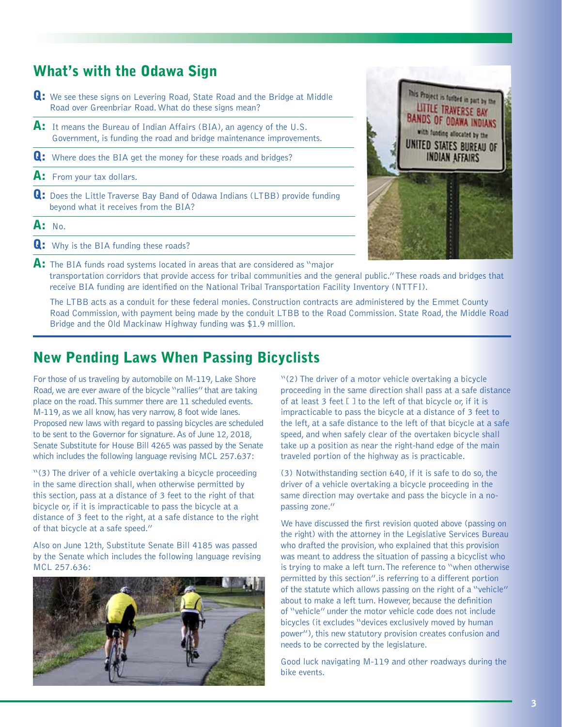### What's with the Odawa Sign

- **Q:** We see these signs on Levering Road, State Road and the Bridge at Middle Road over Greenbriar Road. What do these signs mean?
- $\mathsf{A}\text{:}$  It means the Bureau of Indian Affairs (BIA), an agency of the U.S. Government, is funding the road and bridge maintenance improvements.
- **Q:** Where does the BIA get the money for these roads and bridges?
- $\mathsf{A}:$  From your tax dollars.
- **Q:** Does the Little Traverse Bay Band of Odawa Indians (LTBB) provide funding beyond what it receives from the BIA?
- $A: N<sub>0</sub>$
- **Q:** Why is the BIA funding these roads?



**A:** The BIA funds road systems located in areas that are considered as "major transportation corridors that provide access for tribal communities and the general public." These roads and bridges that receive BIA funding are identified on the National Tribal Transportation Facility Inventory (NTTFI).

 The LTBB acts as a conduit for these federal monies. Construction contracts are administered by the Emmet County Road Commission, with payment being made by the conduit LTBB to the Road Commission. State Road, the Middle Road Bridge and the Old Mackinaw Highway funding was \$1.9 million.

### New Pending Laws When Passing Bicyclists

For those of us traveling by automobile on M-119, Lake Shore Road, we are ever aware of the bicycle "rallies" that are taking place on the road. This summer there are 11 scheduled events. M-119, as we all know, has very narrow, 8 foot wide lanes. Proposed new laws with regard to passing bicycles are scheduled to be sent to the Governor for signature. As of June 12, 2018, Senate Substitute for House Bill 4265 was passed by the Senate which includes the following language revising MCL 257.637:

"(3) The driver of a vehicle overtaking a bicycle proceeding in the same direction shall, when otherwise permitted by this section, pass at a distance of 3 feet to the right of that bicycle or, if it is impracticable to pass the bicycle at a distance of 3 feet to the right, at a safe distance to the right of that bicycle at a safe speed."

Also on June 12th, Substitute Senate Bill 4185 was passed by the Senate which includes the following language revising MCL 257.636:



"(2) The driver of a motor vehicle overtaking a bicycle proceeding in the same direction shall pass at a safe distance of at least 3 feet [ ] to the left of that bicycle or, if it is impracticable to pass the bicycle at a distance of 3 feet to the left, at a safe distance to the left of that bicycle at a safe speed, and when safely clear of the overtaken bicycle shall take up a position as near the right-hand edge of the main traveled portion of the highway as is practicable.

(3) Notwithstanding section 640, if it is safe to do so, the driver of a vehicle overtaking a bicycle proceeding in the same direction may overtake and pass the bicycle in a nopassing zone."

We have discussed the first revision quoted above (passing on the right) with the attorney in the Legislative Services Bureau who drafted the provision, who explained that this provision was meant to address the situation of passing a bicyclist who is trying to make a left turn. The reference to "when otherwise permitted by this section".is referring to a different portion of the statute which allows passing on the right of a "vehicle" about to make a left turn. However, because the definition of "vehicle" under the motor vehicle code does not include bicycles (it excludes "devices exclusively moved by human power"), this new statutory provision creates confusion and needs to be corrected by the legislature.

Good luck navigating M-119 and other roadways during the bike events.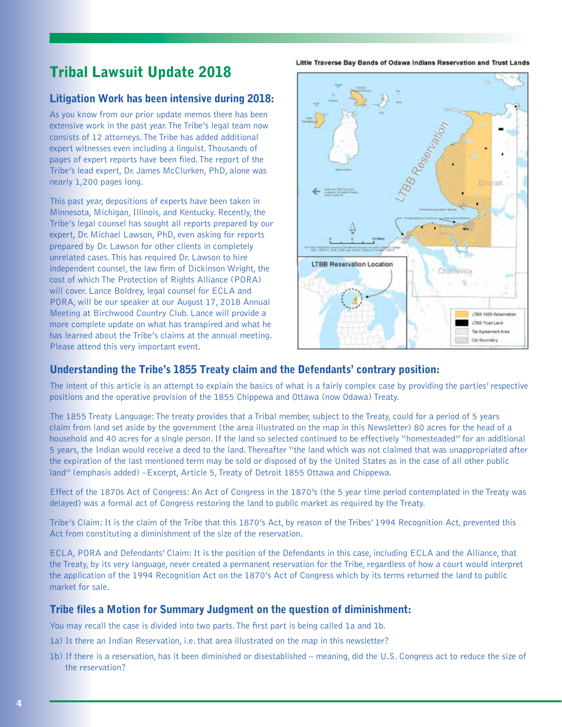# Tribal Lawsuit Update 2018

### Litigation Work has been intensive during 2018:

As you know from our prior update memos there has been extensive work in the past year. The Tribe's legal team now consists of 12 attorneys. The Tribe has added additional expert witnesses even including a linguist. Thousands of pages of expert reports have been filed. The report of the Tribe's lead expert, Dr. James McClurken, PhD, alone was nearly 1,200 pages long.

This past year, depositions of experts have been taken in Minnesota, Michigan, Illinois, and Kentucky. Recently, the Tribe's legal counsel has sought all reports prepared by our expert, Dr. Michael Lawson, PhD, even asking for reports prepared by Dr. Lawson for other clients in completely unrelated cases. This has required Dr. Lawson to hire independent counsel, the law firm of Dickinson Wright, the cost of which The Protection of Rights Alliance (PORA) will cover. Lance Boldrey, legal counsel for ECLA and PORA, will be our speaker at our August 17, 2018 Annual Meeting at Birchwood Country Club. Lance will provide a more complete update on what has transpired and what he has learned about the Tribe's claims at the annual meeting. Please attend this very important event.

Little Traverse Bay Bands of Odawa Indians Reservation and Trust Lands



### Understanding the Tribe's 1855 Treaty claim and the Defendants' contrary position:

The intent of this article is an attempt to explain the basics of what is a fairly complex case by providing the parties' respective positions and the operative provision of the 1855 Chippewa and Ottawa (now Odawa) Treaty.

The 1855 Treaty Language: The treaty provides that a Tribal member, subject to the Treaty, could for a period of 5 years claim from land set aside by the government (the area illustrated on the map in this Newsletter) 80 acres for the head of a household and 40 acres for a single person. If the land so selected continued to be effectively "homesteaded" for an additional 5 years, the Indian would receive a deed to the land. Thereafter "the land which was not claimed that was unappropriated after the expiration of the last mentioned term may be sold or disposed of by the United States as in the case of all other public land" (emphasis added) –Excerpt, Article 5, Treaty of Detroit 1855 Ottawa and Chippewa.

Effect of the 1870s Act of Congress: An Act of Congress in the 1870's (the 5 year time period contemplated in the Treaty was delayed) was a formal act of Congress restoring the land to public market as required by the Treaty.

Tribe's Claim: It is the claim of the Tribe that this 1870's Act, by reason of the Tribes' 1994 Recognition Act, prevented this Act from constituting a diminishment of the size of the reservation.

ECLA, PORA and Defendants' Claim: It is the position of the Defendants in this case, including ECLA and the Alliance, that the Treaty, by its very language, never created a permanent reservation for the Tribe, regardless of how a court would interpret the application of the 1994 Recognition Act on the 1870's Act of Congress which by its terms returned the land to public market for sale.

#### Tribe files a Motion for Summary Judgment on the question of diminishment:

You may recall the case is divided into two parts. The first part is being called 1a and 1b.

- 1a) Is there an Indian Reservation, i.e. that area illustrated on the map in this newsletter?
- 1b) If there is a reservation, has it been diminished or disestablished meaning, did the U.S. Congress act to reduce the size of the reservation?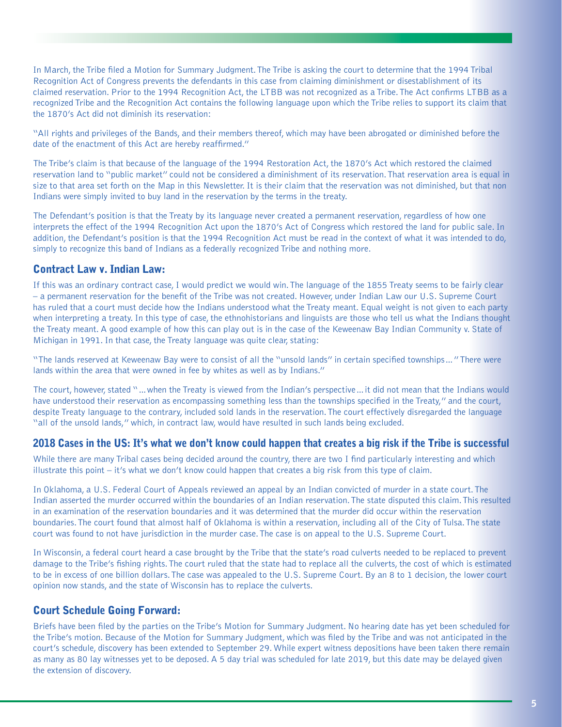In March, the Tribe filed a Motion for Summary Judgment. The Tribe is asking the court to determine that the 1994 Tribal Recognition Act of Congress prevents the defendants in this case from claiming diminishment or disestablishment of its claimed reservation. Prior to the 1994 Recognition Act, the LTBB was not recognized as a Tribe. The Act confirms LTBB as a recognized Tribe and the Recognition Act contains the following language upon which the Tribe relies to support its claim that the 1870's Act did not diminish its reservation:

"All rights and privileges of the Bands, and their members thereof, which may have been abrogated or diminished before the date of the enactment of this Act are hereby reaffirmed."

The Tribe's claim is that because of the language of the 1994 Restoration Act, the 1870's Act which restored the claimed reservation land to "public market" could not be considered a diminishment of its reservation. That reservation area is equal in size to that area set forth on the Map in this Newsletter. It is their claim that the reservation was not diminished, but that non Indians were simply invited to buy land in the reservation by the terms in the treaty.

The Defendant's position is that the Treaty by its language never created a permanent reservation, regardless of how one interprets the effect of the 1994 Recognition Act upon the 1870's Act of Congress which restored the land for public sale. In addition, the Defendant's position is that the 1994 Recognition Act must be read in the context of what it was intended to do, simply to recognize this band of Indians as a federally recognized Tribe and nothing more.

### Contract Law v. Indian Law:

If this was an ordinary contract case, I would predict we would win. The language of the 1855 Treaty seems to be fairly clear – a permanent reservation for the benefit of the Tribe was not created. However, under Indian Law our U.S. Supreme Court has ruled that a court must decide how the Indians understood what the Treaty meant. Equal weight is not given to each party when interpreting a treaty. In this type of case, the ethnohistorians and linguists are those who tell us what the Indians thought the Treaty meant. A good example of how this can play out is in the case of the Keweenaw Bay Indian Community v. State of Michigan in 1991. In that case, the Treaty language was quite clear, stating:

"The lands reserved at Keweenaw Bay were to consist of all the "unsold lands" in certain specified townships…" There were lands within the area that were owned in fee by whites as well as by Indians."

The court, however, stated "…when the Treaty is viewed from the Indian's perspective…it did not mean that the Indians would have understood their reservation as encompassing something less than the townships specified in the Treaty," and the court, despite Treaty language to the contrary, included sold lands in the reservation. The court effectively disregarded the language "all of the unsold lands," which, in contract law, would have resulted in such lands being excluded.

#### 2018 Cases in the US: It's what we don't know could happen that creates a big risk if the Tribe is successful

While there are many Tribal cases being decided around the country, there are two I find particularly interesting and which illustrate this point – it's what we don't know could happen that creates a big risk from this type of claim.

In Oklahoma, a U.S. Federal Court of Appeals reviewed an appeal by an Indian convicted of murder in a state court. The Indian asserted the murder occurred within the boundaries of an Indian reservation. The state disputed this claim. This resulted in an examination of the reservation boundaries and it was determined that the murder did occur within the reservation boundaries. The court found that almost half of Oklahoma is within a reservation, including all of the City of Tulsa. The state court was found to not have jurisdiction in the murder case. The case is on appeal to the U.S. Supreme Court.

In Wisconsin, a federal court heard a case brought by the Tribe that the state's road culverts needed to be replaced to prevent damage to the Tribe's fishing rights. The court ruled that the state had to replace all the culverts, the cost of which is estimated to be in excess of one billion dollars. The case was appealed to the U.S. Supreme Court. By an 8 to 1 decision, the lower court opinion now stands, and the state of Wisconsin has to replace the culverts.

### Court Schedule Going Forward:

Briefs have been filed by the parties on the Tribe's Motion for Summary Judgment. No hearing date has yet been scheduled for the Tribe's motion. Because of the Motion for Summary Judgment, which was filed by the Tribe and was not anticipated in the court's schedule, discovery has been extended to September 29. While expert witness depositions have been taken there remain as many as 80 lay witnesses yet to be deposed. A 5 day trial was scheduled for late 2019, but this date may be delayed given the extension of discovery.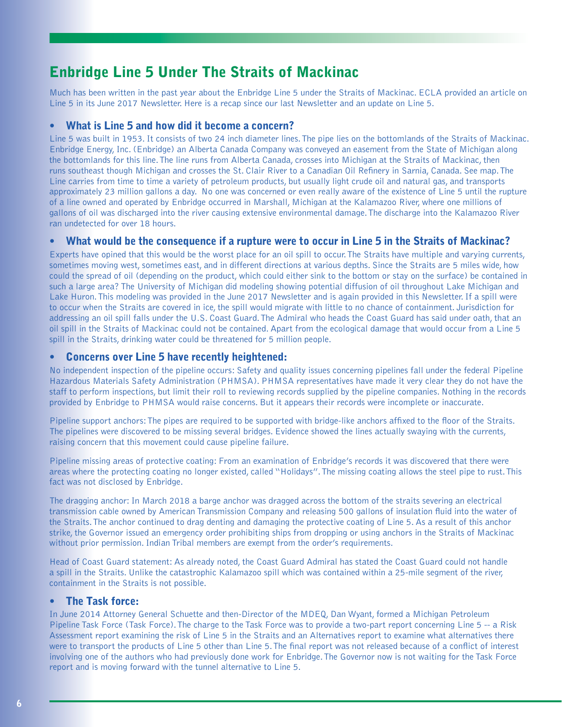### Enbridge Line 5 Under The Straits of Mackinac

Much has been written in the past year about the Enbridge Line 5 under the Straits of Mackinac. ECLA provided an article on Line 5 in its June 2017 Newsletter. Here is a recap since our last Newsletter and an update on Line 5.

#### What is Line 5 and how did it become a concern?

Line 5 was built in 1953. It consists of two 24 inch diameter lines. The pipe lies on the bottomlands of the Straits of Mackinac. Enbridge Energy, Inc. (Enbridge) an Alberta Canada Company was conveyed an easement from the State of Michigan along the bottomlands for this line. The line runs from Alberta Canada, crosses into Michigan at the Straits of Mackinac, then runs southeast though Michigan and crosses the St. Clair River to a Canadian Oil Refinery in Sarnia, Canada. See map. The Line carries from time to time a variety of petroleum products, but usually light crude oil and natural gas, and transports approximately 23 million gallons a day. No one was concerned or even really aware of the existence of Line 5 until the rupture of a line owned and operated by Enbridge occurred in Marshall, Michigan at the Kalamazoo River, where one millions of gallons of oil was discharged into the river causing extensive environmental damage. The discharge into the Kalamazoo River ran undetected for over 18 hours.

#### • What would be the consequence if a rupture were to occur in Line 5 in the Straits of Mackinac?

Experts have opined that this would be the worst place for an oil spill to occur. The Straits have multiple and varying currents, sometimes moving west, sometimes east, and in different directions at various depths. Since the Straits are 5 miles wide, how could the spread of oil (depending on the product, which could either sink to the bottom or stay on the surface) be contained in such a large area? The University of Michigan did modeling showing potential diffusion of oil throughout Lake Michigan and Lake Huron. This modeling was provided in the June 2017 Newsletter and is again provided in this Newsletter. If a spill were to occur when the Straits are covered in ice, the spill would migrate with little to no chance of containment. Jurisdiction for addressing an oil spill falls under the U.S. Coast Guard. The Admiral who heads the Coast Guard has said under oath, that an oil spill in the Straits of Mackinac could not be contained. Apart from the ecological damage that would occur from a Line 5 spill in the Straits, drinking water could be threatened for 5 million people.

#### • Concerns over Line 5 have recently heightened:

No independent inspection of the pipeline occurs: Safety and quality issues concerning pipelines fall under the federal Pipeline Hazardous Materials Safety Administration (PHMSA). PHMSA representatives have made it very clear they do not have the staff to perform inspections, but limit their roll to reviewing records supplied by the pipeline companies. Nothing in the records provided by Enbridge to PHMSA would raise concerns. But it appears their records were incomplete or inaccurate.

Pipeline support anchors: The pipes are required to be supported with bridge-like anchors affixed to the floor of the Straits. The pipelines were discovered to be missing several bridges. Evidence showed the lines actually swaying with the currents, raising concern that this movement could cause pipeline failure.

Pipeline missing areas of protective coating: From an examination of Enbridge's records it was discovered that there were areas where the protecting coating no longer existed, called "Holidays". The missing coating allows the steel pipe to rust. This fact was not disclosed by Enbridge.

The dragging anchor: In March 2018 a barge anchor was dragged across the bottom of the straits severing an electrical transmission cable owned by American Transmission Company and releasing 500 gallons of insulation fluid into the water of the Straits. The anchor continued to drag denting and damaging the protective coating of Line 5. As a result of this anchor strike, the Governor issued an emergency order prohibiting ships from dropping or using anchors in the Straits of Mackinac without prior permission. Indian Tribal members are exempt from the order's requirements.

Head of Coast Guard statement: As already noted, the Coast Guard Admiral has stated the Coast Guard could not handle a spill in the Straits. Unlike the catastrophic Kalamazoo spill which was contained within a 25-mile segment of the river, containment in the Straits is not possible.

#### • The Task force:

In June 2014 Attorney General Schuette and then-Director of the MDEQ, Dan Wyant, formed a Michigan Petroleum Pipeline Task Force (Task Force). The charge to the Task Force was to provide a two-part report concerning Line 5 -- a Risk Assessment report examining the risk of Line 5 in the Straits and an Alternatives report to examine what alternatives there were to transport the products of Line 5 other than Line 5. The final report was not released because of a conflict of interest involving one of the authors who had previously done work for Enbridge. The Governor now is not waiting for the Task Force report and is moving forward with the tunnel alternative to Line 5.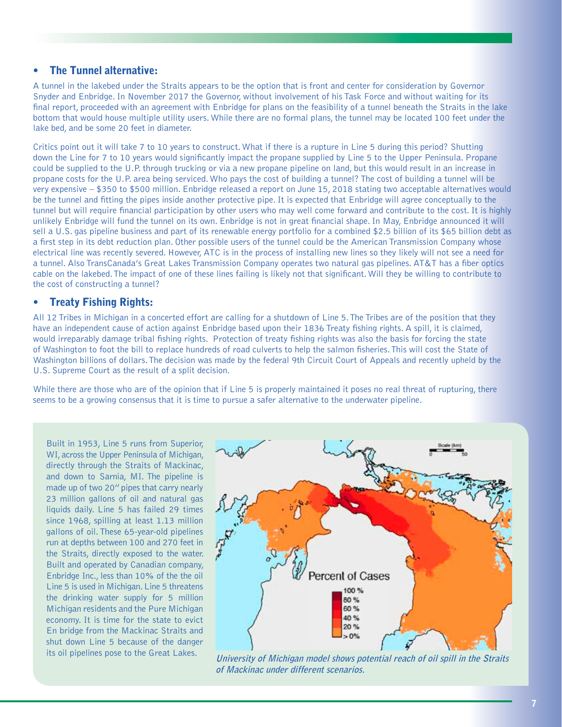#### • The Tunnel alternative:

A tunnel in the lakebed under the Straits appears to be the option that is front and center for consideration by Governor Snyder and Enbridge. In November 2017 the Governor, without involvement of his Task Force and without waiting for its final report, proceeded with an agreement with Enbridge for plans on the feasibility of a tunnel beneath the Straits in the lake bottom that would house multiple utility users. While there are no formal plans, the tunnel may be located 100 feet under the lake bed, and be some 20 feet in diameter.

Critics point out it will take 7 to 10 years to construct. What if there is a rupture in Line 5 during this period? Shutting down the Line for 7 to 10 years would significantly impact the propane supplied by Line 5 to the Upper Peninsula. Propane could be supplied to the U.P. through trucking or via a new propane pipeline on land, but this would result in an increase in propane costs for the U.P. area being serviced. Who pays the cost of building a tunnel? The cost of building a tunnel will be very expensive – \$350 to \$500 million. Enbridge released a report on June 15, 2018 stating two acceptable alternatives would be the tunnel and fitting the pipes inside another protective pipe. It is expected that Enbridge will agree conceptually to the tunnel but will require financial participation by other users who may well come forward and contribute to the cost. It is highly unlikely Enbridge will fund the tunnel on its own. Enbridge is not in great financial shape. In May, Enbridge announced it will sell a U.S. gas pipeline business and part of its renewable energy portfolio for a combined \$2.5 billion of its \$65 billion debt as a first step in its debt reduction plan. Other possible users of the tunnel could be the American Transmission Company whose electrical line was recently severed. However, ATC is in the process of installing new lines so they likely will not see a need for a tunnel. Also TransCanada's Great Lakes Transmission Company operates two natural gas pipelines. AT&T has a fiber optics cable on the lakebed. The impact of one of these lines failing is likely not that significant. Will they be willing to contribute to the cost of constructing a tunnel?

#### • Treaty Fishing Rights:

All 12 Tribes in Michigan in a concerted effort are calling for a shutdown of Line 5. The Tribes are of the position that they have an independent cause of action against Enbridge based upon their 1836 Treaty fishing rights. A spill, it is claimed, would irreparably damage tribal fishing rights. Protection of treaty fishing rights was also the basis for forcing the state of Washington to foot the bill to replace hundreds of road culverts to help the salmon fisheries. This will cost the State of Washington billions of dollars. The decision was made by the federal 9th Circuit Court of Appeals and recently upheld by the U.S. Supreme Court as the result of a split decision.

While there are those who are of the opinion that if Line 5 is properly maintained it poses no real threat of rupturing, there seems to be a growing consensus that it is time to pursue a safer alternative to the underwater pipeline.

Built in 1953, Line 5 runs from Superior, WI, across the Upper Peninsula of Michigan, directly through the Straits of Mackinac, and down to Sarnia, MI. The pipeline is made up of two 20" pipes that carry nearly 23 million gallons of oil and natural gas liquids daily. Line 5 has failed 29 times since 1968, spilling at least 1.13 million gallons of oil. These 65-year-old pipelines run at depths between 100 and 270 feet in the Straits, directly exposed to the water. Built and operated by Canadian company, Enbridge Inc., less than 10% of the the oil Line 5 is used in Michigan. Line 5 threatens the drinking water supply for 5 million Michigan residents and the Pure Michigan economy. It is time for the state to evict En bridge from the Mackinac Straits and shut down Line 5 because of the danger



its oil pipelines pose to the Great Lakes. **University of Michigan model shows potential reach of oil spill in the Straits of Mackinac under different scenarios.**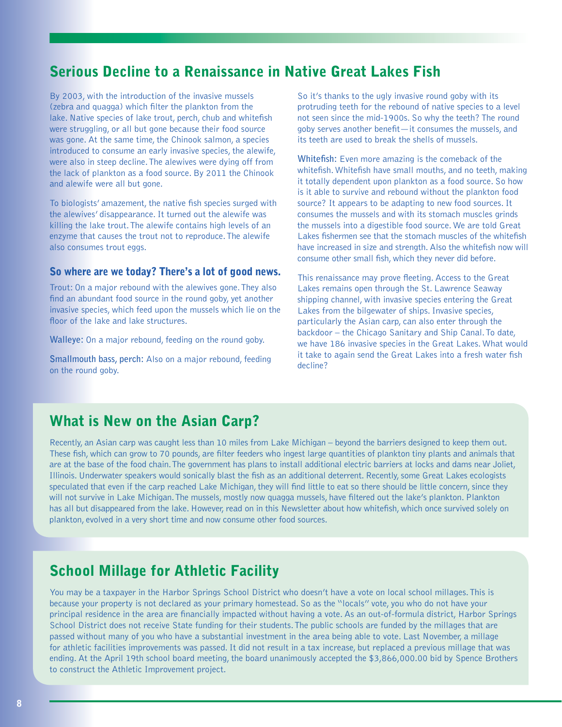### Serious Decline to a Renaissance in Native Great Lakes Fish

By 2003, with the introduction of the invasive mussels (zebra and quagga) which filter the plankton from the lake. Native species of lake trout, perch, chub and whitefish were struggling, or all but gone because their food source was gone. At the same time, the Chinook salmon, a species introduced to consume an early invasive species, the alewife, were also in steep decline. The alewives were dying off from the lack of plankton as a food source. By 2011 the Chinook and alewife were all but gone.

To biologists' amazement, the native fish species surged with the alewives' disappearance. It turned out the alewife was killing the lake trout. The alewife contains high levels of an enzyme that causes the trout not to reproduce. The alewife also consumes trout eggs.

#### So where are we today? There's a lot of good news.

Trout: On a major rebound with the alewives gone. They also find an abundant food source in the round goby, yet another invasive species, which feed upon the mussels which lie on the floor of the lake and lake structures.

**Walleye:** On a major rebound, feeding on the round goby.

**Smallmouth bass, perch:** Also on a major rebound, feeding on the round goby.

So it's thanks to the ugly invasive round goby with its protruding teeth for the rebound of native species to a level not seen since the mid-1900s. So why the teeth? The round goby serves another benefit—it consumes the mussels, and its teeth are used to break the shells of mussels.

**Whitefish:** Even more amazing is the comeback of the whitefish. Whitefish have small mouths, and no teeth, making it totally dependent upon plankton as a food source. So how is it able to survive and rebound without the plankton food source? It appears to be adapting to new food sources. It consumes the mussels and with its stomach muscles grinds the mussels into a digestible food source. We are told Great Lakes fishermen see that the stomach muscles of the whitefish have increased in size and strength. Also the whitefish now will consume other small fish, which they never did before.

This renaissance may prove fleeting. Access to the Great Lakes remains open through the St. Lawrence Seaway shipping channel, with invasive species entering the Great Lakes from the bilgewater of ships. Invasive species, particularly the Asian carp, can also enter through the backdoor – the Chicago Sanitary and Ship Canal. To date, we have 186 invasive species in the Great Lakes. What would it take to again send the Great Lakes into a fresh water fish decline?

### What is New on the Asian Carp?

Recently, an Asian carp was caught less than 10 miles from Lake Michigan – beyond the barriers designed to keep them out. These fish, which can grow to 70 pounds, are filter feeders who ingest large quantities of plankton tiny plants and animals that are at the base of the food chain. The government has plans to install additional electric barriers at locks and dams near Joliet, Illinois. Underwater speakers would sonically blast the fish as an additional deterrent. Recently, some Great Lakes ecologists speculated that even if the carp reached Lake Michigan, they will find little to eat so there should be little concern, since they will not survive in Lake Michigan. The mussels, mostly now quagga mussels, have filtered out the lake's plankton. Plankton has all but disappeared from the lake. However, read on in this Newsletter about how whitefish, which once survived solely on plankton, evolved in a very short time and now consume other food sources.

### School Millage for Athletic Facility

You may be a taxpayer in the Harbor Springs School District who doesn't have a vote on local school millages. This is because your property is not declared as your primary homestead. So as the "locals" vote, you who do not have your principal residence in the area are financially impacted without having a vote. As an out-of-formula district, Harbor Springs School District does not receive State funding for their students. The public schools are funded by the millages that are passed without many of you who have a substantial investment in the area being able to vote. Last November, a millage for athletic facilities improvements was passed. It did not result in a tax increase, but replaced a previous millage that was ending. At the April 19th school board meeting, the board unanimously accepted the \$3,866,000.00 bid by Spence Brothers to construct the Athletic Improvement project.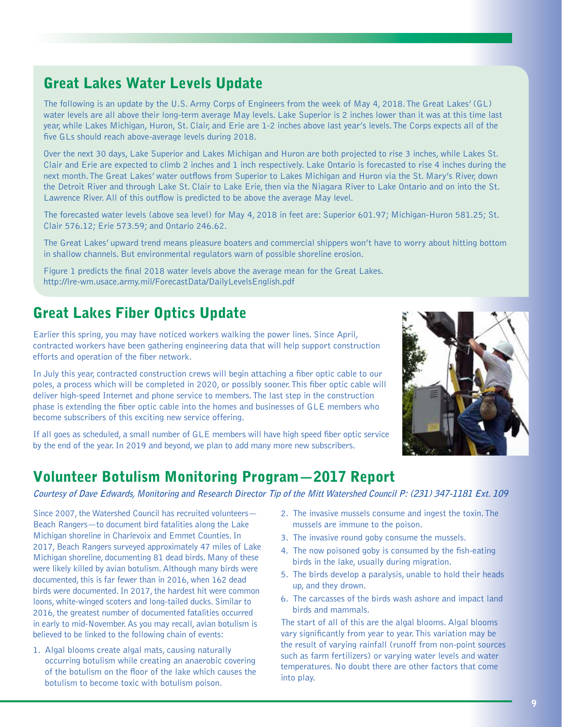# Great Lakes Water Levels Update

The following is an update by the U.S. Army Corps of Engineers from the week of May 4, 2018. The Great Lakes' (GL) water levels are all above their long-term average May levels. Lake Superior is 2 inches lower than it was at this time last year, while Lakes Michigan, Huron, St. Clair, and Erie are 1-2 inches above last year's levels. The Corps expects all of the five GLs should reach above-average levels during 2018.

Over the next 30 days, Lake Superior and Lakes Michigan and Huron are both projected to rise 3 inches, while Lakes St. Clair and Erie are expected to climb 2 inches and 1 inch respectively. Lake Ontario is forecasted to rise 4 inches during the next month. The Great Lakes' water outflows from Superior to Lakes Michigan and Huron via the St. Mary's River, down the Detroit River and through Lake St. Clair to Lake Erie, then via the Niagara River to Lake Ontario and on into the St. Lawrence River. All of this outflow is predicted to be above the average May level.

The forecasted water levels (above sea level) for May 4, 2018 in feet are: Superior 601.97; Michigan-Huron 581.25; St. Clair 576.12; Erie 573.59; and Ontario 246.62.

The Great Lakes' upward trend means pleasure boaters and commercial shippers won't have to worry about hitting bottom in shallow channels. But environmental regulators warn of possible shoreline erosion.

Figure 1 predicts the final 2018 water levels above the average mean for the Great Lakes. http://lre-wm.usace.army.mil/ForecastData/DailyLevelsEnglish.pdf

# Great Lakes Fiber Optics Update

Earlier this spring, you may have noticed workers walking the power lines. Since April, contracted workers have been gathering engineering data that will help support construction efforts and operation of the fiber network.

In July this year, contracted construction crews will begin attaching a fiber optic cable to our poles, a process which will be completed in 2020, or possibly sooner. This fiber optic cable will deliver high-speed Internet and phone service to members. The last step in the construction phase is extending the fiber optic cable into the homes and businesses of GLE members who become subscribers of this exciting new service offering.

If all goes as scheduled, a small number of GLE members will have high speed fiber optic service by the end of the year. In 2019 and beyond, we plan to add many more new subscribers.

### Volunteer Botulism Monitoring Program—2017 Report

**Courtesy of Dave Edwards, Monitoring and Research Director Tip of the Mitt Watershed Council P: (231) 347-1181 Ext. 109**

Since 2007, the Watershed Council has recruited volunteers— Beach Rangers—to document bird fatalities along the Lake Michigan shoreline in Charlevoix and Emmet Counties. In 2017, Beach Rangers surveyed approximately 47 miles of Lake Michigan shoreline, documenting 81 dead birds. Many of these were likely killed by avian botulism. Although many birds were documented, this is far fewer than in 2016, when 162 dead birds were documented. In 2017, the hardest hit were common loons, white-winged scoters and long-tailed ducks. Similar to 2016, the greatest number of documented fatalities occurred in early to mid-November. As you may recall, avian botulism is believed to be linked to the following chain of events:

1. Algal blooms create algal mats, causing naturally occurring botulism while creating an anaerobic covering of the botulism on the floor of the lake which causes the botulism to become toxic with botulism poison.

- 
- 2. The invasive mussels consume and ingest the toxin. The mussels are immune to the poison.
- 3. The invasive round goby consume the mussels.
- 4. The now poisoned goby is consumed by the fish-eating birds in the lake, usually during migration.
- 5. The birds develop a paralysis, unable to hold their heads up, and they drown.
- 6. The carcasses of the birds wash ashore and impact land birds and mammals.

The start of all of this are the algal blooms. Algal blooms vary significantly from year to year. This variation may be the result of varying rainfall (runoff from non-point sources such as farm fertilizers) or varying water levels and water temperatures. No doubt there are other factors that come into play.